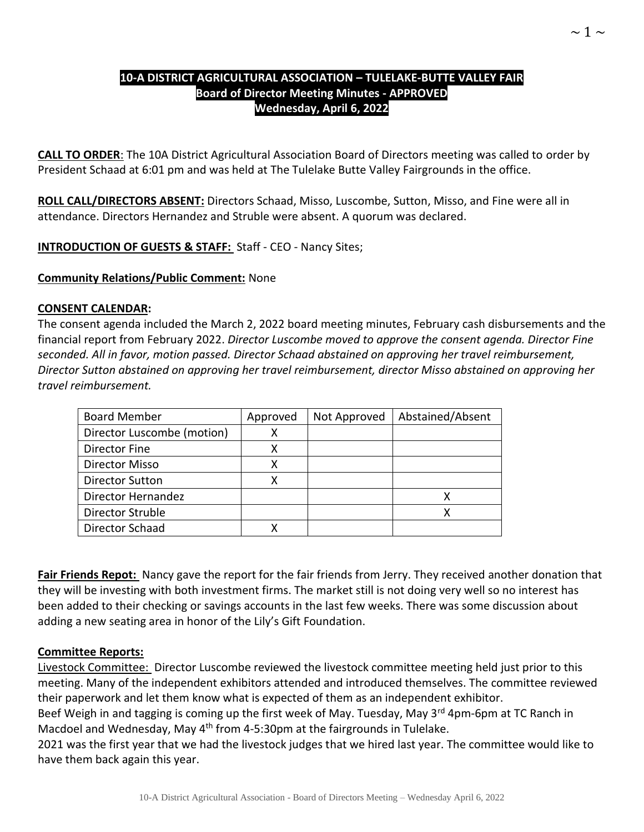### **10-A DISTRICT AGRICULTURAL ASSOCIATION – TULELAKE-BUTTE VALLEY FAIR Board of Director Meeting Minutes - APPROVED Wednesday, April 6, 2022**

**CALL TO ORDER**: The 10A District Agricultural Association Board of Directors meeting was called to order by President Schaad at 6:01 pm and was held at The Tulelake Butte Valley Fairgrounds in the office.

**ROLL CALL/DIRECTORS ABSENT:** Directors Schaad, Misso, Luscombe, Sutton, Misso, and Fine were all in attendance. Directors Hernandez and Struble were absent. A quorum was declared.

**INTRODUCTION OF GUESTS & STAFF:** Staff - CEO - Nancy Sites;

**Community Relations/Public Comment:** None

#### **CONSENT CALENDAR:**

The consent agenda included the March 2, 2022 board meeting minutes, February cash disbursements and the financial report from February 2022. *Director Luscombe moved to approve the consent agenda. Director Fine seconded. All in favor, motion passed. Director Schaad abstained on approving her travel reimbursement, Director Sutton abstained on approving her travel reimbursement, director Misso abstained on approving her travel reimbursement.* 

| <b>Board Member</b>        | Approved | Not Approved | Abstained/Absent |
|----------------------------|----------|--------------|------------------|
| Director Luscombe (motion) | х        |              |                  |
| Director Fine              |          |              |                  |
| Director Misso             | x        |              |                  |
| <b>Director Sutton</b>     | х        |              |                  |
| Director Hernandez         |          |              |                  |
| <b>Director Struble</b>    |          |              |                  |
| Director Schaad            |          |              |                  |

**Fair Friends Repot:** Nancy gave the report for the fair friends from Jerry. They received another donation that they will be investing with both investment firms. The market still is not doing very well so no interest has been added to their checking or savings accounts in the last few weeks. There was some discussion about adding a new seating area in honor of the Lily's Gift Foundation.

### **Committee Reports:**

Livestock Committee: Director Luscombe reviewed the livestock committee meeting held just prior to this meeting. Many of the independent exhibitors attended and introduced themselves. The committee reviewed their paperwork and let them know what is expected of them as an independent exhibitor.

Beef Weigh in and tagging is coming up the first week of May. Tuesday, May 3<sup>rd</sup> 4pm-6pm at TC Ranch in Macdoel and Wednesday, May 4<sup>th</sup> from 4-5:30pm at the fairgrounds in Tulelake.

2021 was the first year that we had the livestock judges that we hired last year. The committee would like to have them back again this year.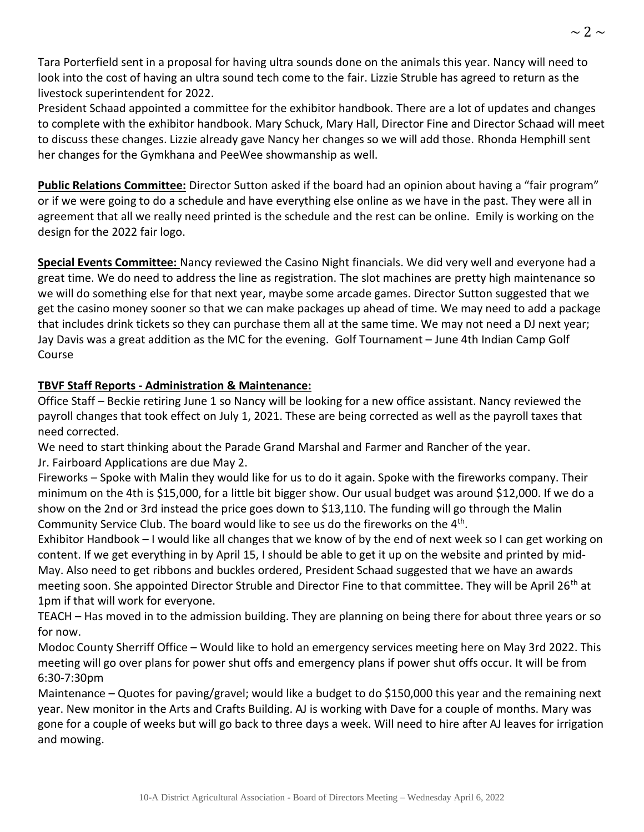Tara Porterfield sent in a proposal for having ultra sounds done on the animals this year. Nancy will need to look into the cost of having an ultra sound tech come to the fair. Lizzie Struble has agreed to return as the livestock superintendent for 2022.

President Schaad appointed a committee for the exhibitor handbook. There are a lot of updates and changes to complete with the exhibitor handbook. Mary Schuck, Mary Hall, Director Fine and Director Schaad will meet to discuss these changes. Lizzie already gave Nancy her changes so we will add those. Rhonda Hemphill sent her changes for the Gymkhana and PeeWee showmanship as well.

**Public Relations Committee:** Director Sutton asked if the board had an opinion about having a "fair program" or if we were going to do a schedule and have everything else online as we have in the past. They were all in agreement that all we really need printed is the schedule and the rest can be online. Emily is working on the design for the 2022 fair logo.

**Special Events Committee:** Nancy reviewed the Casino Night financials. We did very well and everyone had a great time. We do need to address the line as registration. The slot machines are pretty high maintenance so we will do something else for that next year, maybe some arcade games. Director Sutton suggested that we get the casino money sooner so that we can make packages up ahead of time. We may need to add a package that includes drink tickets so they can purchase them all at the same time. We may not need a DJ next year; Jay Davis was a great addition as the MC for the evening. Golf Tournament – June 4th Indian Camp Golf Course

# **TBVF Staff Reports - Administration & Maintenance:**

Office Staff – Beckie retiring June 1 so Nancy will be looking for a new office assistant. Nancy reviewed the payroll changes that took effect on July 1, 2021. These are being corrected as well as the payroll taxes that need corrected.

We need to start thinking about the Parade Grand Marshal and Farmer and Rancher of the year. Jr. Fairboard Applications are due May 2.

Fireworks – Spoke with Malin they would like for us to do it again. Spoke with the fireworks company. Their minimum on the 4th is \$15,000, for a little bit bigger show. Our usual budget was around \$12,000. If we do a show on the 2nd or 3rd instead the price goes down to \$13,110. The funding will go through the Malin Community Service Club. The board would like to see us do the fireworks on the 4<sup>th</sup>.

Exhibitor Handbook – I would like all changes that we know of by the end of next week so I can get working on content. If we get everything in by April 15, I should be able to get it up on the website and printed by mid-May. Also need to get ribbons and buckles ordered, President Schaad suggested that we have an awards meeting soon. She appointed Director Struble and Director Fine to that committee. They will be April 26<sup>th</sup> at 1pm if that will work for everyone.

TEACH – Has moved in to the admission building. They are planning on being there for about three years or so for now.

Modoc County Sherriff Office – Would like to hold an emergency services meeting here on May 3rd 2022. This meeting will go over plans for power shut offs and emergency plans if power shut offs occur. It will be from 6:30-7:30pm

Maintenance – Quotes for paving/gravel; would like a budget to do \$150,000 this year and the remaining next year. New monitor in the Arts and Crafts Building. AJ is working with Dave for a couple of months. Mary was gone for a couple of weeks but will go back to three days a week. Will need to hire after AJ leaves for irrigation and mowing.